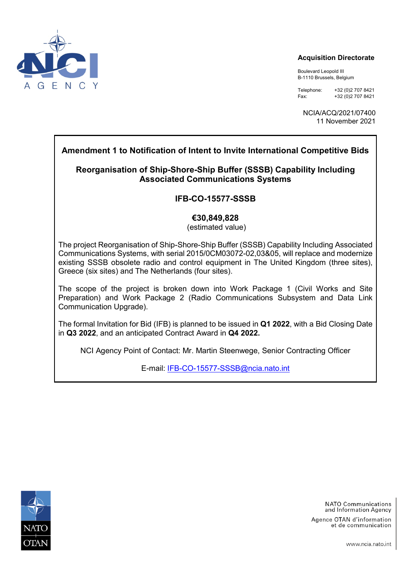

#### **Acquisition Directorate**

Boulevard Leopold III B-1110 Brussels, Belgium

Telephone: +32 (0) 2707 8421<br>Fax: +32 (0) 2707 8421 Fax: +32 (0)2 707 8421

NCIA/ACQ/2021/07400 11 November 2021

## **Amendment 1 to Notification of Intent to Invite International Competitive Bids**

## **Reorganisation of Ship-Shore-Ship Buffer (SSSB) Capability Including Associated Communications Systems**

## **IFB-CO-15577-SSSB**

#### **€30,849,828**

(estimated value)

The project Reorganisation of Ship-Shore-Ship Buffer (SSSB) Capability Including Associated Communications Systems, with serial 2015/0CM03072-02,03&05, will replace and modernize existing SSSB obsolete radio and control equipment in The United Kingdom (three sites), Greece (six sites) and The Netherlands (four sites).

The scope of the project is broken down into Work Package 1 (Civil Works and Site Preparation) and Work Package 2 (Radio Communications Subsystem and Data Link Communication Upgrade).

The formal Invitation for Bid (IFB) is planned to be issued in **Q1 2022**, with a Bid Closing Date in **Q3 2022**, and an anticipated Contract Award in **Q4 2022.**

NCI Agency Point of Contact: Mr. Martin Steenwege, Senior Contracting Officer

E-mail: [IFB-CO-15577-SSSB@ncia.nato.int](mailto:IFB-CO-15577-SSSB@ncia.nato.int)



**NATO Communications** and Information Agency

Agence OTAN d'information et de communication

www.ncia.nato.int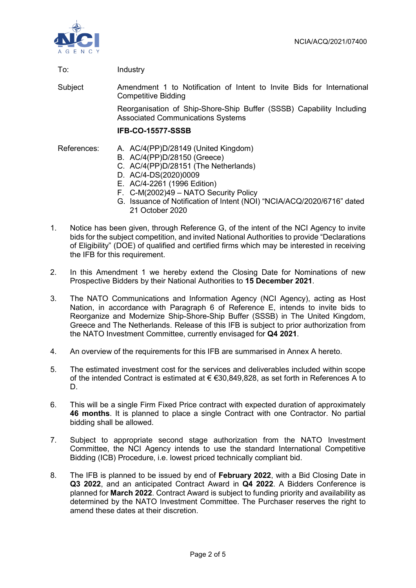

#### To: Industry

Subject Amendment 1 to Notification of Intent to Invite Bids for International Competitive Bidding

> Reorganisation of Ship-Shore-Ship Buffer (SSSB) Capability Including Associated Communications Systems

#### **IFB-CO-15577-SSSB**

- References: A. AC/4(PP)D/28149 (United Kingdom)
	- B. AC/4(PP)D/28150 (Greece)
	- C. AC/4(PP)D/28151 (The Netherlands)
	- D. AC/4-DS(2020)0009
	- E. AC/4-2261 (1996 Edition)
	- F. C-M(2002)49 NATO Security Policy
	- G. Issuance of Notification of Intent (NOI) "NCIA/ACQ/2020/6716" dated 21 October 2020
- 1. Notice has been given, through Reference G, of the intent of the NCI Agency to invite bids for the subject competition, and invited National Authorities to provide "Declarations of Eligibility" (DOE) of qualified and certified firms which may be interested in receiving the IFB for this requirement.
- 2. In this Amendment 1 we hereby extend the Closing Date for Nominations of new Prospective Bidders by their National Authorities to **15 December 2021**.
- 3. The NATO Communications and Information Agency (NCI Agency), acting as Host Nation, in accordance with Paragraph 6 of Reference E, intends to invite bids to Reorganize and Modernize Ship-Shore-Ship Buffer (SSSB) in The United Kingdom, Greece and The Netherlands. Release of this IFB is subject to prior authorization from the NATO Investment Committee, currently envisaged for **Q4 2021**.
- 4. An overview of the requirements for this IFB are summarised in Annex A hereto.
- 5. The estimated investment cost for the services and deliverables included within scope of the intended Contract is estimated at € €30,849,828, as set forth in References A to D.
- 6. This will be a single Firm Fixed Price contract with expected duration of approximately **46 months**. It is planned to place a single Contract with one Contractor. No partial bidding shall be allowed.
- 7. Subject to appropriate second stage authorization from the NATO Investment Committee, the NCI Agency intends to use the standard International Competitive Bidding (ICB) Procedure, i.e. lowest priced technically compliant bid.
- 8. The IFB is planned to be issued by end of **February 2022**, with a Bid Closing Date in **Q3 2022**, and an anticipated Contract Award in **Q4 2022**. A Bidders Conference is planned for **March 2022**. Contract Award is subject to funding priority and availability as determined by the NATO Investment Committee. The Purchaser reserves the right to amend these dates at their discretion.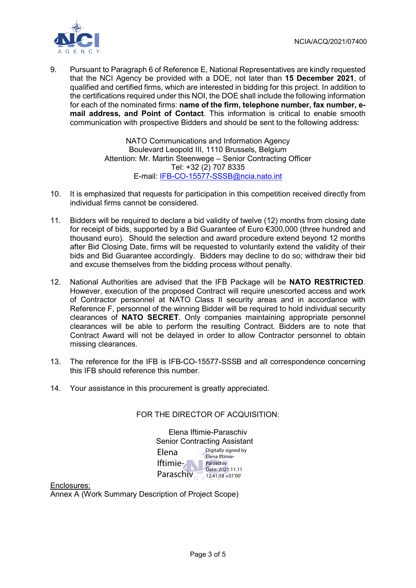

9. Pursuant to Paragraph 6 of Reference E, National Representatives are kindly requested that the NCI Agency be provided with a DOE, not later than **15 December 2021**, of qualified and certified firms, which are interested in bidding for this project. In addition to the certifications required under this NOI, the DOE shall include the following information for each of the nominated firms: **name of the firm, telephone number, fax number, email address, and Point of Contact**. This information is critical to enable smooth communication with prospective Bidders and should be sent to the following address:

> NATO Communications and Information Agency Boulevard Leopold III, 1110 Brussels, Belgium Attention: Mr. Martin Steenwege – Senior Contracting Officer Tel: +32 (2) 707 8335 E-mail: [IFB-CO-15577-SSSB@ncia.nato.int](mailto:IFB-CO-15577-SSSB@ncia.nato.int)

- 10. It is emphasized that requests for participation in this competition received directly from individual firms cannot be considered.
- 11. Bidders will be required to declare a bid validity of twelve (12) months from closing date for receipt of bids, supported by a Bid Guarantee of Euro €300,000 (three hundred and thousand euro). Should the selection and award procedure extend beyond 12 months after Bid Closing Date, firms will be requested to voluntarily extend the validity of their bids and Bid Guarantee accordingly. Bidders may decline to do so; withdraw their bid and excuse themselves from the bidding process without penalty.
- 12. National Authorities are advised that the IFB Package will be **NATO RESTRICTED**. However, execution of the proposed Contract will require unescorted access and work of Contractor personnel at NATO Class II security areas and in accordance with Reference F, personnel of the winning Bidder will be required to hold individual security clearances of **NATO SECRET**. Only companies maintaining appropriate personnel clearances will be able to perform the resulting Contract. Bidders are to note that Contract Award will not be delayed in order to allow Contractor personnel to obtain missing clearances.
- 13. The reference for the IFB is IFB-CO-15577-SSSB and all correspondence concerning this IFB should reference this number.
- 14. Your assistance in this procurement is greatly appreciated.

#### FOR THE DIRECTOR OF ACQUISITION:

Elena Iftimie-Paraschiv Senior Contracting Assistant Elena Iftimie-Paraschiv<sub> $G = 12:41:58+01'00'$ </sub> Digitally signed by Elena Iftimie-Paraschiv Date: 2021.11.11

Enclosures: Annex A (Work Summary Description of Project Scope)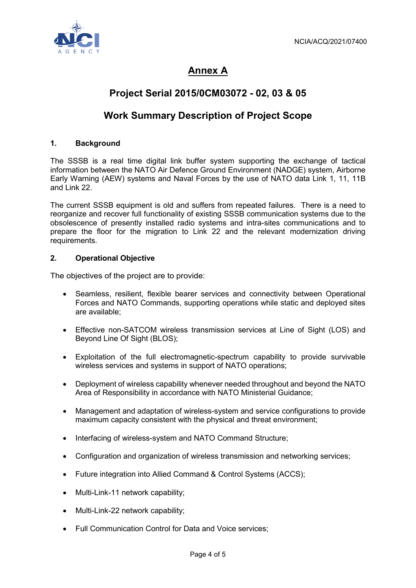

# **Annex A**

# **Project Serial 2015/0CM03072 - 02, 03 & 05**

# **Work Summary Description of Project Scope**

### **1. Background**

The SSSB is a real time digital link buffer system supporting the exchange of tactical information between the NATO Air Defence Ground Environment (NADGE) system, Airborne Early Warning (AEW) systems and Naval Forces by the use of NATO data Link 1, 11, 11B and Link 22.

The current SSSB equipment is old and suffers from repeated failures. There is a need to reorganize and recover full functionality of existing SSSB communication systems due to the obsolescence of presently installed radio systems and intra-sites communications and to prepare the floor for the migration to Link 22 and the relevant modernization driving requirements.

#### **2. Operational Objective**

The objectives of the project are to provide:

- Seamless, resilient, flexible bearer services and connectivity between Operational Forces and NATO Commands, supporting operations while static and deployed sites are available;
- Effective non-SATCOM wireless transmission services at Line of Sight (LOS) and Beyond Line Of Sight (BLOS);
- Exploitation of the full electromagnetic-spectrum capability to provide survivable wireless services and systems in support of NATO operations;
- Deployment of wireless capability whenever needed throughout and beyond the NATO Area of Responsibility in accordance with NATO Ministerial Guidance;
- Management and adaptation of wireless-system and service configurations to provide maximum capacity consistent with the physical and threat environment;
- Interfacing of wireless-system and NATO Command Structure;
- Configuration and organization of wireless transmission and networking services;
- Future integration into Allied Command & Control Systems (ACCS);
- Multi-Link-11 network capability;
- Multi-Link-22 network capability;
- Full Communication Control for Data and Voice services;